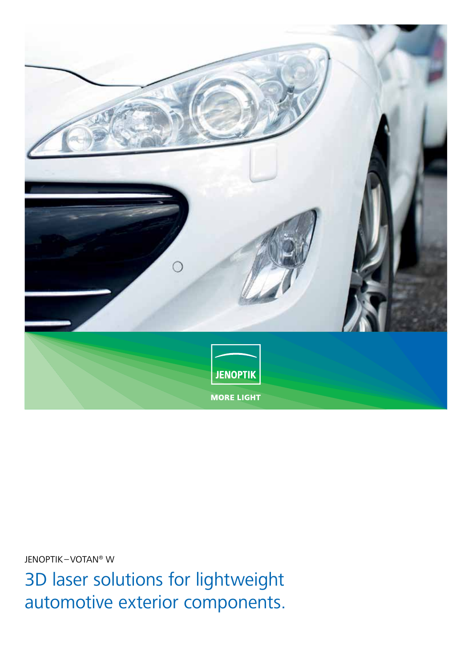

JENOPTIK–VOTAN® W

3D laser solutions for lightweight automotive exterior components.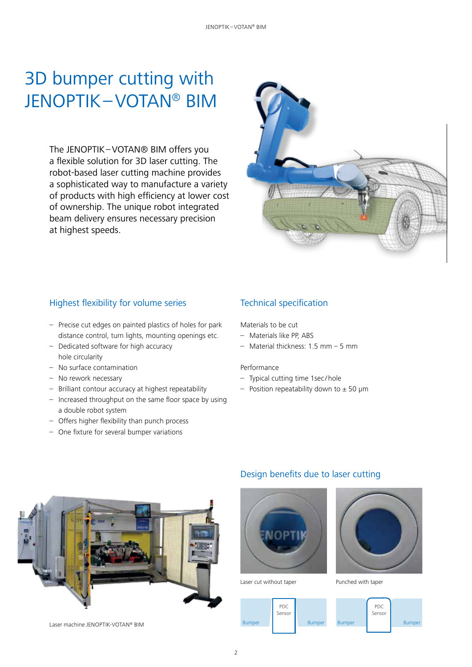# 3D bumper cutting with JENOPTIK–VOTAN® BIM

The JENOPTIK–VOTAN® BIM offers you a flexible solution for 3D laser cutting. The robot-based laser cutting machine provides a sophisticated way to manufacture a variety of products with high efficiency at lower cost of ownership. The unique robot integrated beam delivery ensures necessary precision at highest speeds.



### Highest flexibility for volume series

- Precise cut edges on painted plastics of holes for park distance control, turn lights, mounting openings etc.
- Dedicated software for high accuracy hole circularity
- No surface contamination
- No rework necessary
- Brilliant contour accuracy at highest repeatability
- Increased throughput on the same floor space by using a double robot system
- Offers higher flexibility than punch process
- One fixture for several bumper variations

### Technical specification

Materials to be cut

- Materials like PP, ABS
- Material thickness: 1.5 mm 5 mm

#### Performance

- Typical cutting time 1sec /hole
- Position repeatability down to  $\pm$  50 µm



Laser machine JENOPTIK-VOTAN® BIM

### Design benefits due to laser cutting



Laser cut without taper **Punched with taper** 



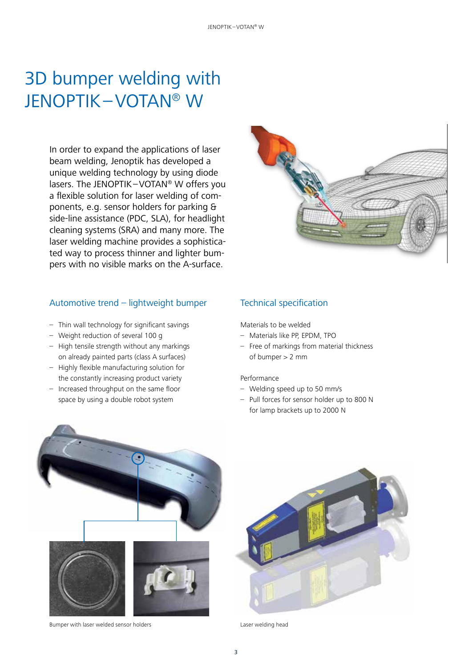# 3D bumper welding with JENOPTIK–VOTAN® W

In order to expand the applications of laser beam welding, Jenoptik has developed a unique welding technology by using diode lasers. The JENOPTIK–VOTAN® W offers you a flexible solution for laser welding of components, e.g. sensor holders for parking & side-line assistance (PDC, SLA), for headlight cleaning systems (SRA) and many more. The laser welding machine provides a sophisticated way to process thinner and lighter bumpers with no visible marks on the A-surface.

### Automotive trend – lightweight bumper

- Thin wall technology for significant savings
- Weight reduction of several 100 g
- High tensile strength without any markings on already painted parts (class A surfaces)
- Highly flexible manufacturing solution for the constantly increasing product variety
- Increased throughput on the same floor space by using a double robot system



### Technical specification

Materials to be welded

- Materials like PP, EPDM, TPO
- Free of markings from material thickness of bumper > 2 mm

#### Performance

- Welding speed up to 50 mm/s
- Pull forces for sensor holder up to 800 N for lamp brackets up to 2000 N



Bumper with laser welded sensor holders



Laser welding head